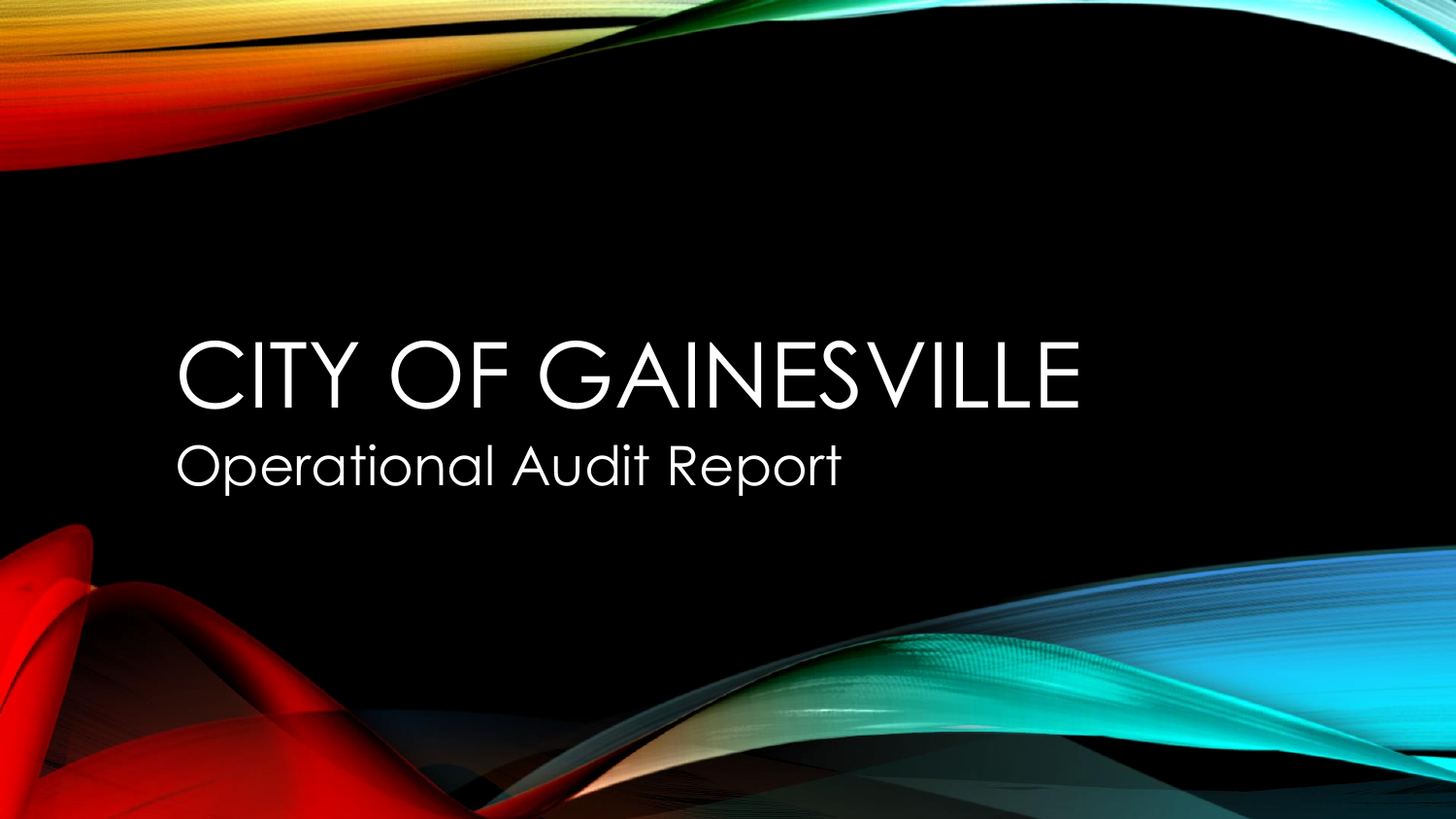# CITY OF GAINESVILLE Operational Audit Report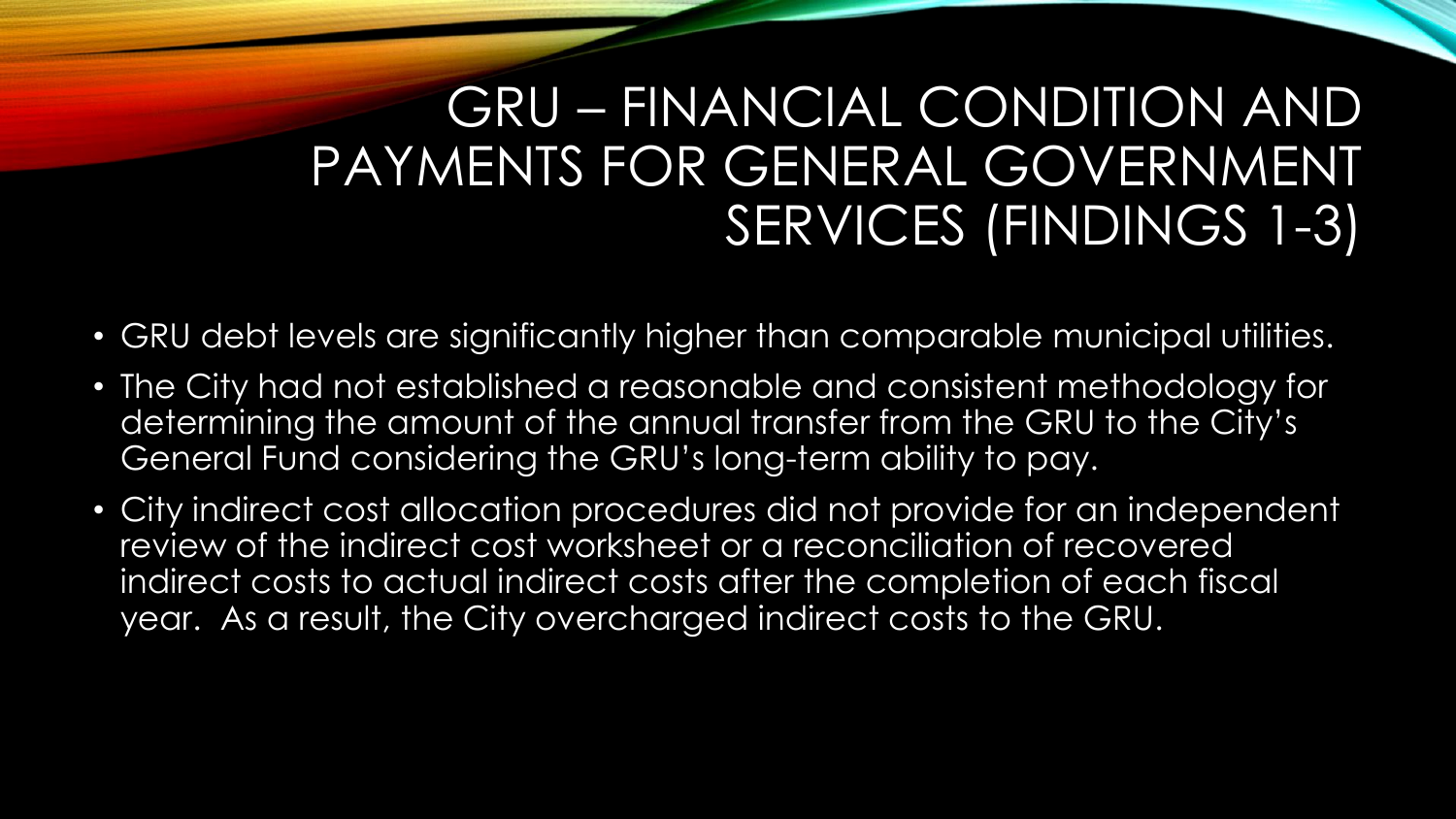## GRU – FINANCIAL CONDITION AND PAYMENTS FOR GENERAL GOVERNMENT SERVICES (FINDINGS 1-3)

- GRU debt levels are significantly higher than comparable municipal utilities.
- The City had not established a reasonable and consistent methodology for determining the amount of the annual transfer from the GRU to the City's General Fund considering the GRU's long-term ability to pay.
- City indirect cost allocation procedures did not provide for an independent review of the indirect cost worksheet or a reconciliation of recovered indirect costs to actual indirect costs after the completion of each fiscal year. As a result, the City overcharged indirect costs to the GRU.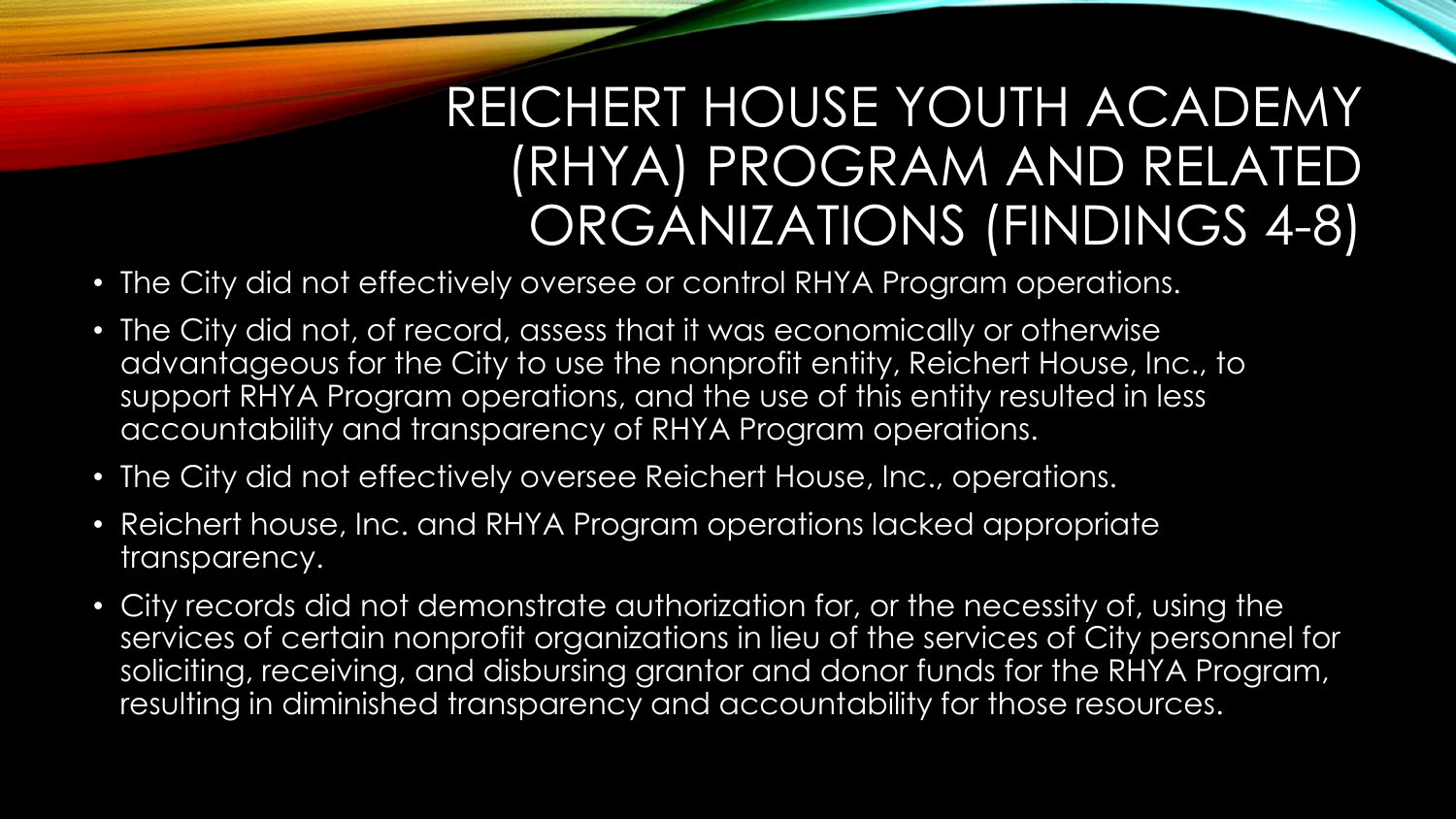## REICHERT HOUSE YOUTH ACADEMY (RHYA) PROGRAM AND RELATED ORGANIZATIONS (FINDINGS 4-8)

- The City did not effectively oversee or control RHYA Program operations.
- The City did not, of record, assess that it was economically or otherwise advantageous for the City to use the nonprofit entity, Reichert House, Inc., to support RHYA Program operations, and the use of this entity resulted in less accountability and transparency of RHYA Program operations.
- The City did not effectively oversee Reichert House, Inc., operations.
- Reichert house, Inc. and RHYA Program operations lacked appropriate transparency.
- City records did not demonstrate authorization for, or the necessity of, using the services of certain nonprofit organizations in lieu of the services of City personnel for soliciting, receiving, and disbursing grantor and donor funds for the RHYA Program, resulting in diminished transparency and accountability for those resources.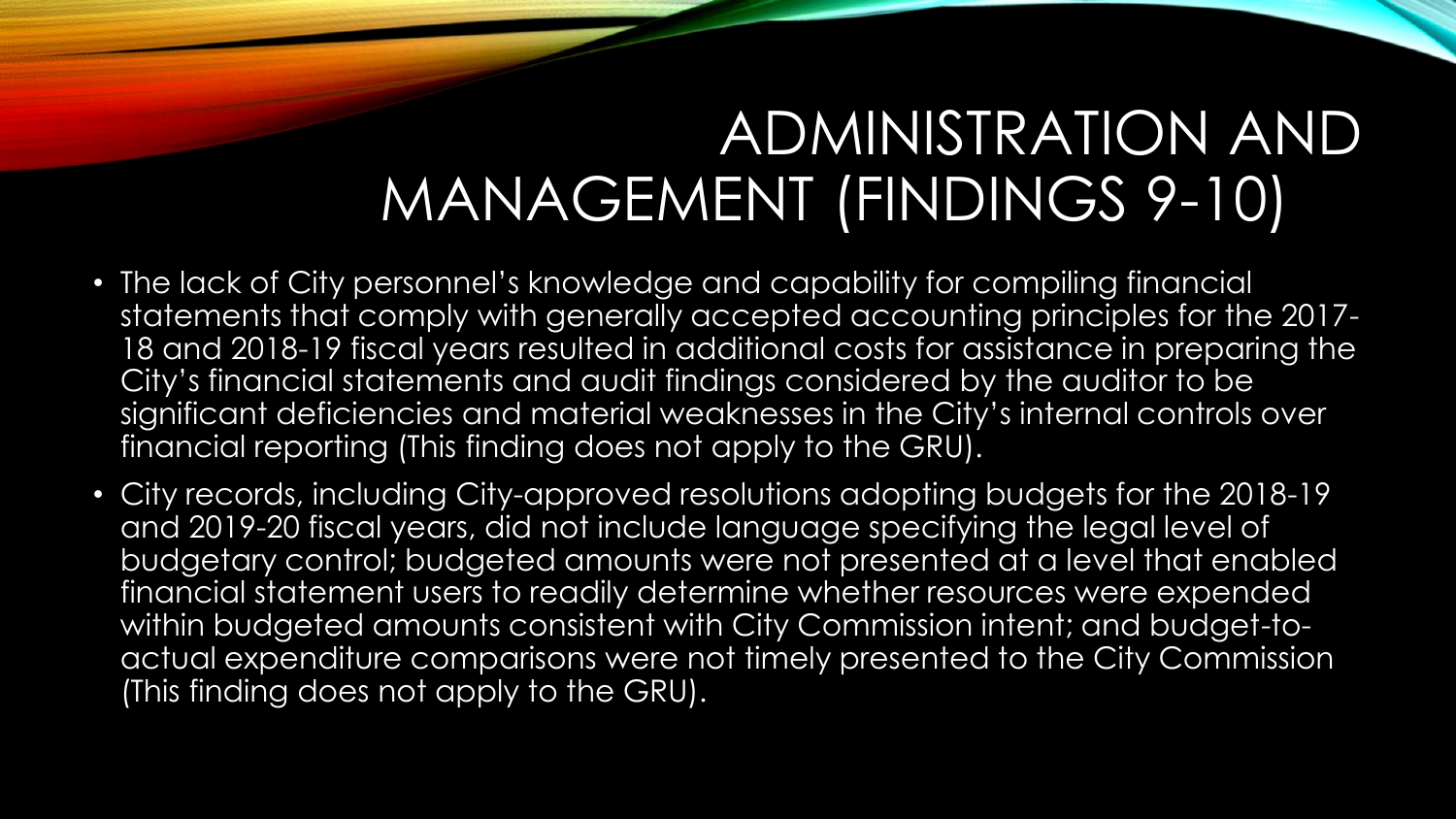## ADMINISTRATION AND MANAGEMENT (FINDINGS 9-10)

- The lack of City personnel's knowledge and capability for compiling financial statements that comply with generally accepted accounting principles for the 2017- 18 and 2018-19 fiscal years resulted in additional costs for assistance in preparing the City's financial statements and audit findings considered by the auditor to be significant deficiencies and material weaknesses in the City's internal controls over financial reporting (This finding does not apply to the GRU).
- City records, including City-approved resolutions adopting budgets for the 2018-19 and 2019-20 fiscal years, did not include language specifying the legal level of budgetary control; budgeted amounts were not presented at a level that enabled financial statement users to readily determine whether resources were expended within budgeted amounts consistent with City Commission intent; and budget-toactual expenditure comparisons were not timely presented to the City Commission (This finding does not apply to the GRU).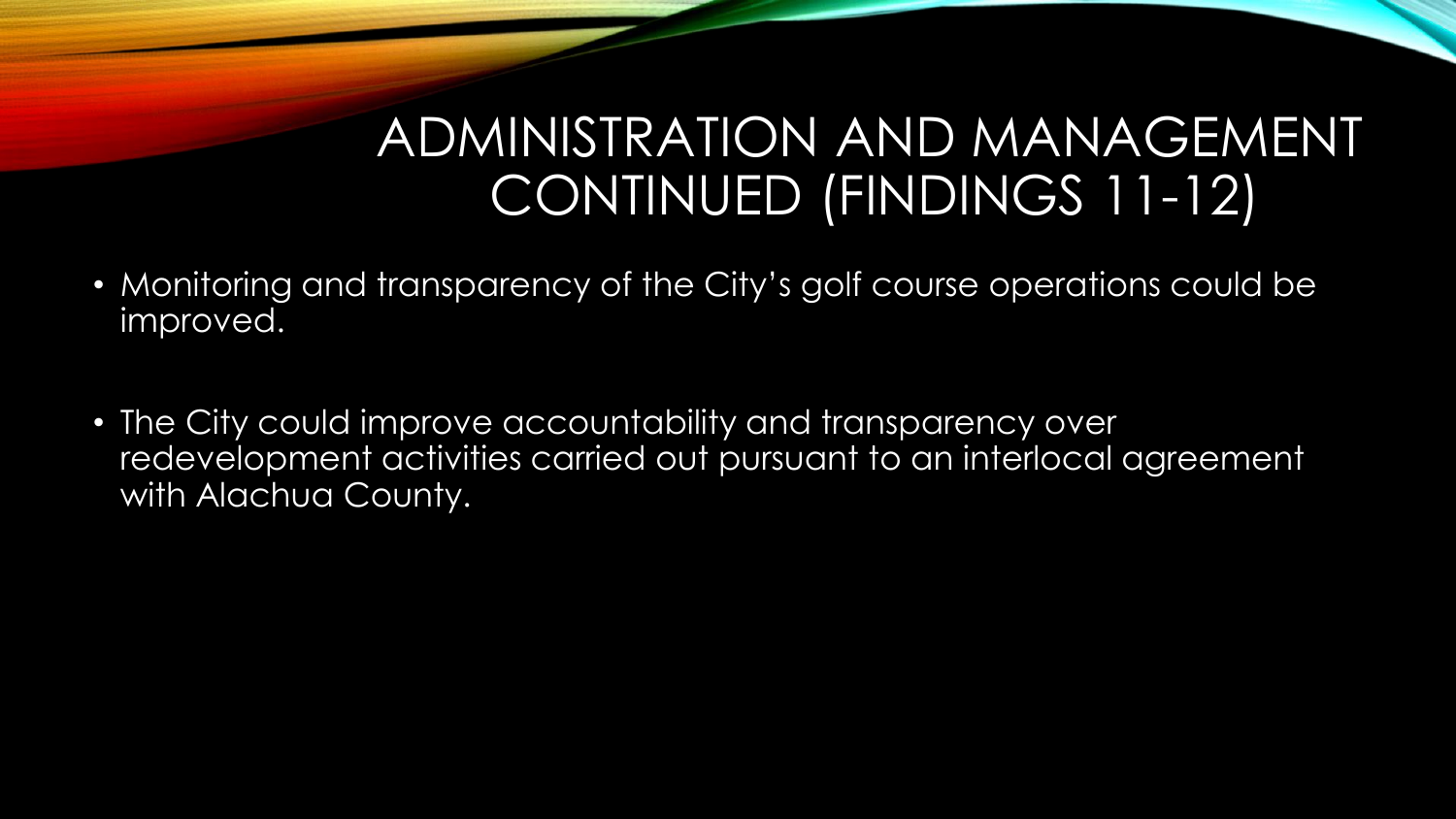#### ADMINISTRATION AND MANAGEMENT CONTINUED (FINDINGS 11-12)

- Monitoring and transparency of the City's golf course operations could be improved.
- The City could improve accountability and transparency over redevelopment activities carried out pursuant to an interlocal agreement with Alachua County.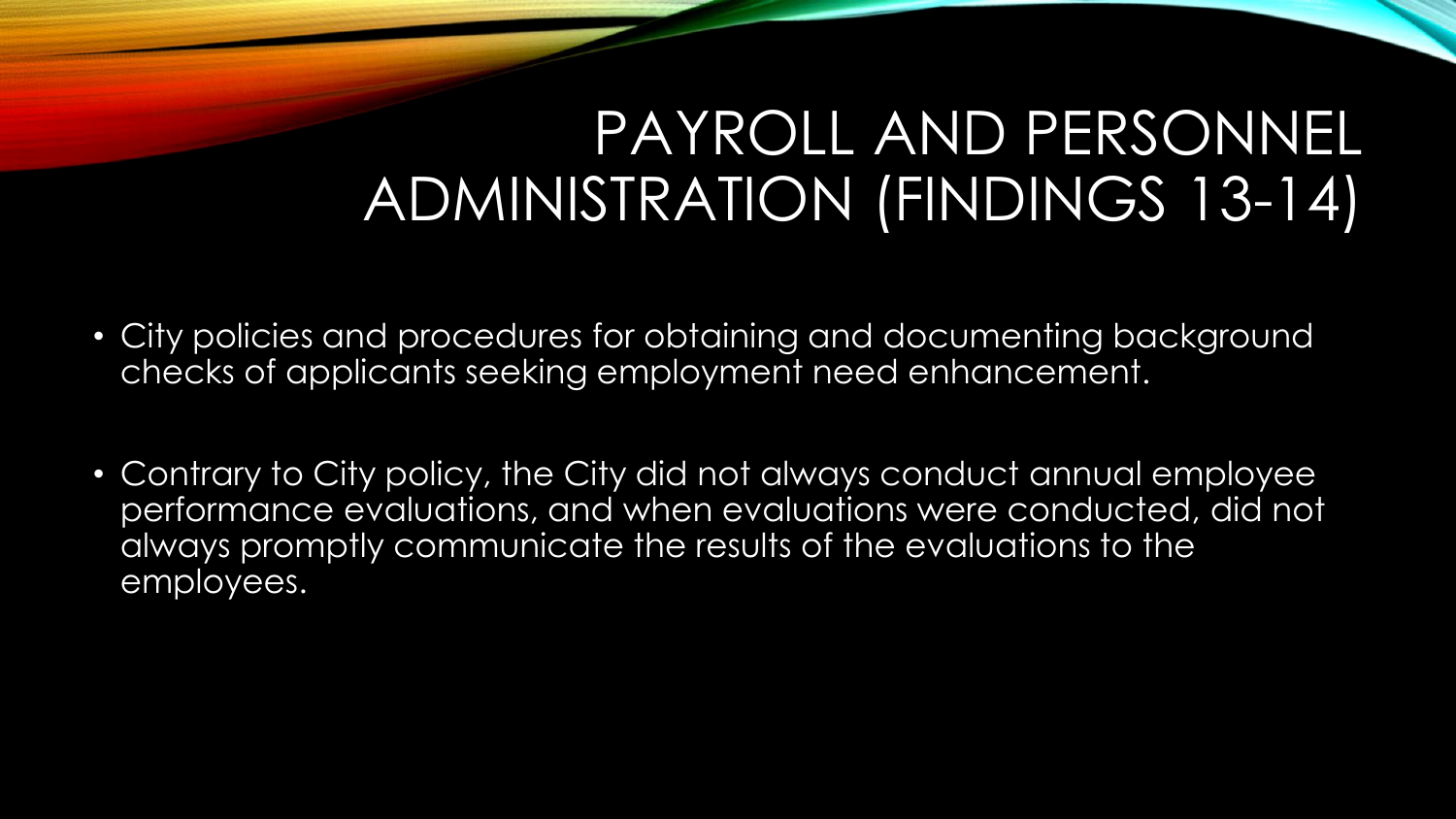## PAYROLL AND PERSONNEL ADMINISTRATION (FINDINGS 13-14)

- City policies and procedures for obtaining and documenting background checks of applicants seeking employment need enhancement.
- Contrary to City policy, the City did not always conduct annual employee performance evaluations, and when evaluations were conducted, did not always promptly communicate the results of the evaluations to the employees.